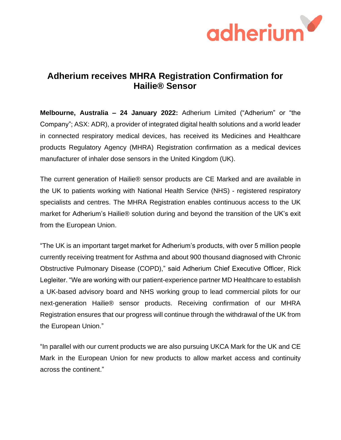

## **Adherium receives MHRA Registration Confirmation for Hailie® Sensor**

**Melbourne, Australia – 24 January 2022:** Adherium Limited ("Adherium" or "the Company"; ASX: ADR), a provider of integrated digital health solutions and a world leader in connected respiratory medical devices, has received its Medicines and Healthcare products Regulatory Agency (MHRA) Registration confirmation as a medical devices manufacturer of inhaler dose sensors in the United Kingdom (UK).

The current generation of Hailie® sensor products are CE Marked and are available in the UK to patients working with National Health Service (NHS) - registered respiratory specialists and centres. The MHRA Registration enables continuous access to the UK market for Adherium's Hailie® solution during and beyond the transition of the UK's exit from the European Union.

"The UK is an important target market for Adherium's products, with over 5 million people currently receiving treatment for Asthma and about 900 thousand diagnosed with Chronic Obstructive Pulmonary Disease (COPD)," said Adherium Chief Executive Officer, Rick Legleiter. "We are working with our patient-experience partner MD Healthcare to establish a UK-based advisory board and NHS working group to lead commercial pilots for our next-generation Hailie® sensor products. Receiving confirmation of our MHRA Registration ensures that our progress will continue through the withdrawal of the UK from the European Union."

"In parallel with our current products we are also pursuing UKCA Mark for the UK and CE Mark in the European Union for new products to allow market access and continuity across the continent."